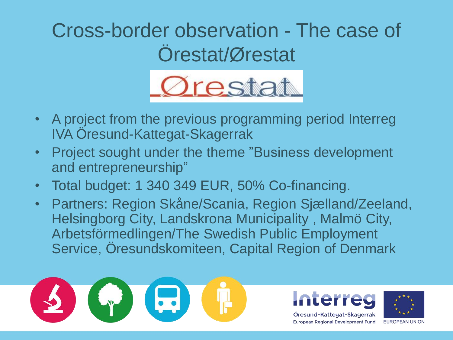#### Cross-border observation - The case of Örestat/Ørestat



- A project from the previous programming period Interreg IVA Öresund-Kattegat-Skagerrak
- Project sought under the theme "Business development and entrepreneurship"
- Total budget: 1 340 349 EUR, 50% Co-financing.
- Partners: Region Skåne/Scania, Region Sjælland/Zeeland, Helsingborg City, Landskrona Municipality , Malmö City, Arbetsförmedlingen/The Swedish Public Employment Service, Öresundskomiteen, Capital Region of Denmark



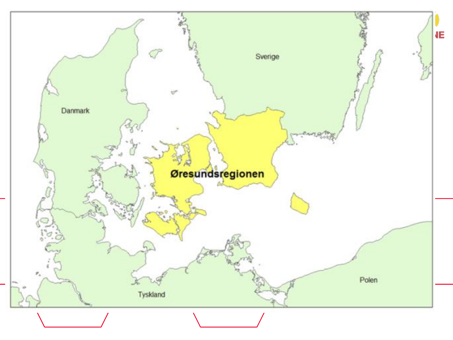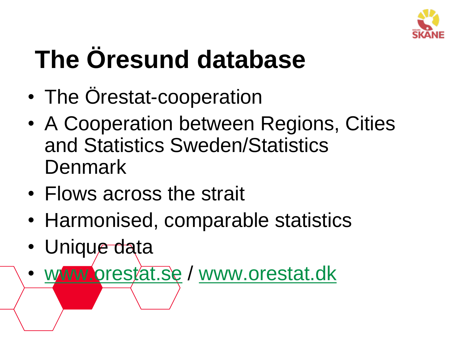

### **The Öresund database**

- The Orestat-cooperation
- A Cooperation between Regions, Cities and Statistics Sweden/Statistics Denmark
- Flows across the strait
- Harmonised, comparable statistics
- Unique data
- [www.orestat.se](http://www.orestat.se/) / [www.orestat.dk](http://www.orestat.dk/)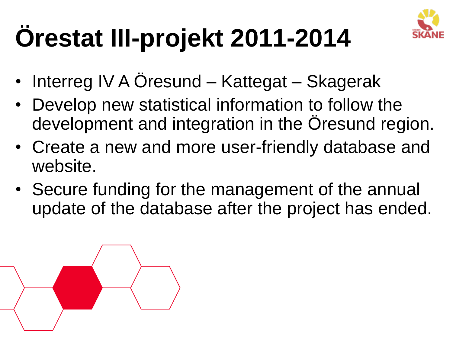

## **Örestat III-projekt 2011-2014**

- Interreg IV A Oresund Kattegat Skagerak
- Develop new statistical information to follow the development and integration in the Oresund region.
- Create a new and more user-friendly database and website.
- Secure funding for the management of the annual update of the database after the project has ended.

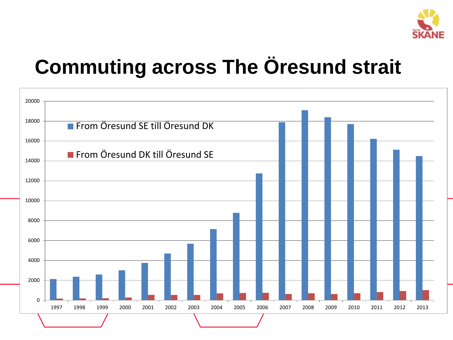

### **Commuting across The Öresund strait**

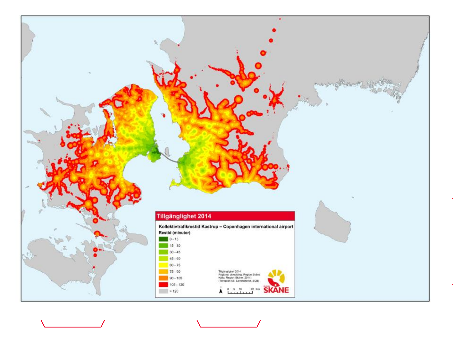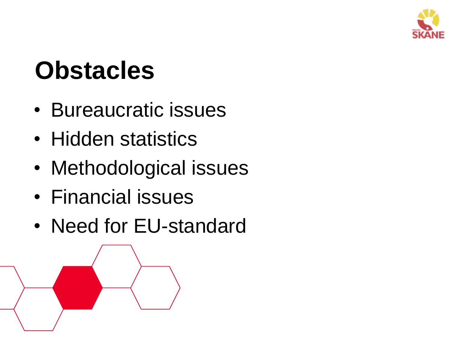

### **Obstacles**

- Bureaucratic issues
- Hidden statistics
- Methodological issues
- Financial issues
- Need for EU-standard